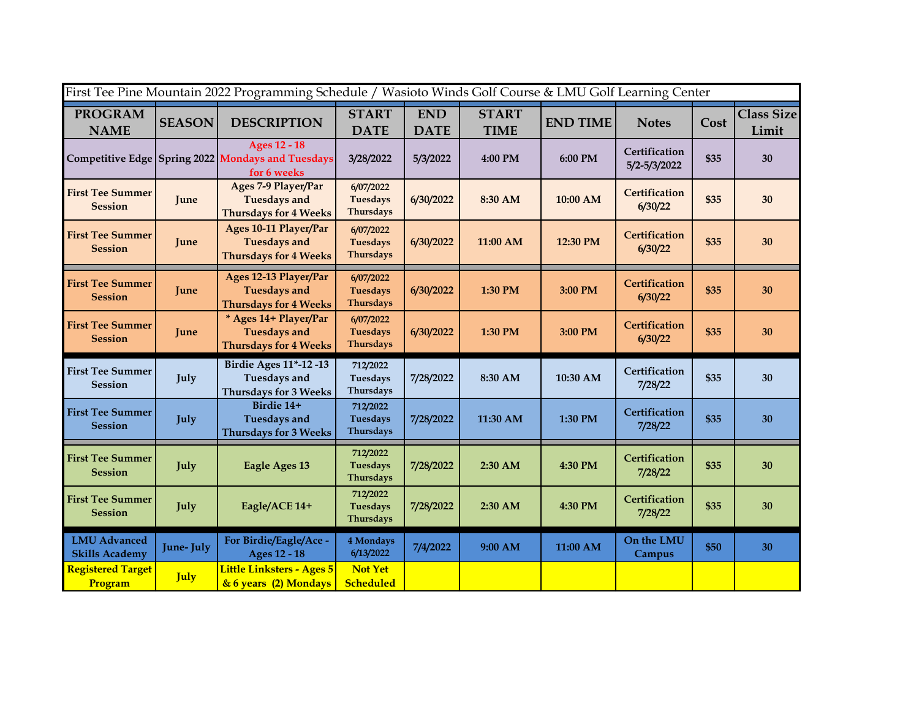| First Tee Pine Mountain 2022 Programming Schedule / Wasioto Winds Golf Course & LMU Golf Learning Center |               |                                                                                         |                                                  |                           |                             |                 |                               |      |                            |  |  |
|----------------------------------------------------------------------------------------------------------|---------------|-----------------------------------------------------------------------------------------|--------------------------------------------------|---------------------------|-----------------------------|-----------------|-------------------------------|------|----------------------------|--|--|
| <b>PROGRAM</b><br><b>NAME</b>                                                                            | <b>SEASON</b> | <b>DESCRIPTION</b>                                                                      | <b>START</b><br><b>DATE</b>                      | <b>END</b><br><b>DATE</b> | <b>START</b><br><b>TIME</b> | <b>END TIME</b> | <b>Notes</b>                  | Cost | <b>Class Size</b><br>Limit |  |  |
|                                                                                                          |               | <b>Ages 12 - 18</b><br>Competitive Edge Spring 2022 Mondays and Tuesdays<br>for 6 weeks | 3/28/2022                                        | 5/3/2022                  | 4:00 PM                     | 6:00 PM         | Certification<br>5/2-5/3/2022 | \$35 | 30                         |  |  |
| <b>First Tee Summer</b><br><b>Session</b>                                                                | June          | Ages 7-9 Player/Par<br><b>Tuesdays and</b><br><b>Thursdays for 4 Weeks</b>              | 6/07/2022<br><b>Tuesdays</b><br><b>Thursdays</b> | 6/30/2022                 | 8:30 AM                     | 10:00 AM        | Certification<br>6/30/22      | \$35 | 30                         |  |  |
| <b>First Tee Summer</b><br><b>Session</b>                                                                | June          | Ages 10-11 Player/Par<br><b>Tuesdays and</b><br><b>Thursdays for 4 Weeks</b>            | 6/07/2022<br>Tuesdays<br>Thursdays               | 6/30/2022                 | 11:00 AM                    | 12:30 PM        | Certification<br>6/30/22      | \$35 | 30                         |  |  |
| <b>First Tee Summer</b><br><b>Session</b>                                                                | <b>June</b>   | Ages 12-13 Player/Par<br><b>Tuesdays and</b><br><b>Thursdays for 4 Weeks</b>            | 6/07/2022<br><b>Tuesdays</b><br><b>Thursdays</b> | 6/30/2022                 | 1:30 PM                     | 3:00 PM         | Certification<br>6/30/22      | \$35 | 30                         |  |  |
| <b>First Tee Summer</b><br><b>Session</b>                                                                | June          | * Ages 14+ Player/Par<br><b>Tuesdays and</b><br><b>Thursdays for 4 Weeks</b>            | 6/07/2022<br>Tuesdays<br><b>Thursdays</b>        | 6/30/2022                 | 1:30 PM                     | 3:00 PM         | Certification<br>6/30/22      | \$35 | 30                         |  |  |
| <b>First Tee Summer</b><br><b>Session</b>                                                                | July          | <b>Birdie Ages 11*-12 -13</b><br><b>Tuesdays and</b><br><b>Thursdays for 3 Weeks</b>    | 712/2022<br>Tuesdays<br>Thursdays                | 7/28/2022                 | 8:30 AM                     | 10:30 AM        | Certification<br>7/28/22      | \$35 | 30                         |  |  |
| <b>First Tee Summer</b><br><b>Session</b>                                                                | July          | Birdie 14+<br><b>Tuesdays and</b><br><b>Thursdays for 3 Weeks</b>                       | 712/2022<br>Tuesdays<br>Thursdays                | 7/28/2022                 | 11:30 AM                    | 1:30 PM         | Certification<br>7/28/22      | \$35 | 30                         |  |  |
| <b>First Tee Summer</b><br><b>Session</b>                                                                | July          | Eagle Ages 13                                                                           | 712/2022<br><b>Tuesdays</b><br>Thursdays         | 7/28/2022                 | 2:30 AM                     | 4:30 PM         | Certification<br>7/28/22      | \$35 | 30                         |  |  |
| <b>First Tee Summer</b><br><b>Session</b>                                                                | July          | Eagle/ACE 14+                                                                           | 712/2022<br>Tuesdays<br><b>Thursdays</b>         | 7/28/2022                 | 2:30 AM                     | 4:30 PM         | Certification<br>7/28/22      | \$35 | 30                         |  |  |
| <b>LMU</b> Advanced<br><b>Skills Academy</b>                                                             | June-July     | For Birdie/Eagle/Ace -<br><b>Ages 12 - 18</b>                                           | 4 Mondays<br>6/13/2022                           | 7/4/2022                  | 9:00 AM                     | 11:00 AM        | On the LMU<br>Campus          | \$50 | 30                         |  |  |
| <b>Registered Target</b><br>Program                                                                      | July          | Little Linksters - Ages 5<br>& 6 years (2) Mondays                                      | <b>Not Yet</b><br><b>Scheduled</b>               |                           |                             |                 |                               |      |                            |  |  |